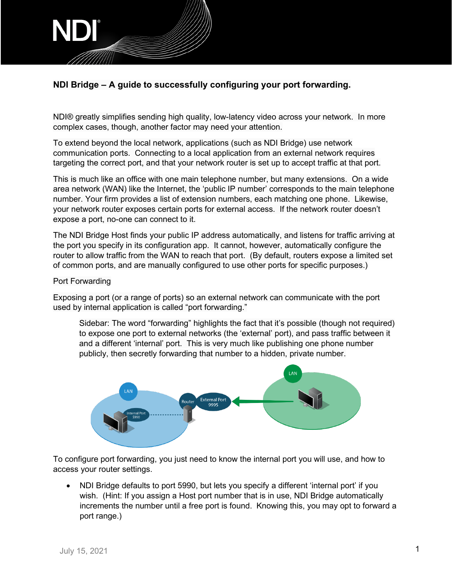

## **NDI Bridge – A guide to successfully configuring your port forwarding.**

NDI® greatly simplifies sending high quality, low-latency video across your network. In more complex cases, though, another factor may need your attention.

To extend beyond the local network, applications (such as NDI Bridge) use network communication ports. Connecting to a local application from an external network requires targeting the correct port, and that your network router is set up to accept traffic at that port.

This is much like an office with one main telephone number, but many extensions. On a wide area network (WAN) like the Internet, the 'public IP number' corresponds to the main telephone number. Your firm provides a list of extension numbers, each matching one phone. Likewise, your network router exposes certain ports for external access. If the network router doesn't expose a port, no-one can connect to it.

The NDI Bridge Host finds your public IP address automatically, and listens for traffic arriving at the port you specify in its configuration app. It cannot, however, automatically configure the router to allow traffic from the WAN to reach that port. (By default, routers expose a limited set of common ports, and are manually configured to use other ports for specific purposes.)

## Port Forwarding

Exposing a port (or a range of ports) so an external network can communicate with the port used by internal application is called "port forwarding."

Sidebar: The word "forwarding" highlights the fact that it's possible (though not required) to expose one port to external networks (the 'external' port), and pass traffic between it and a different 'internal' port. This is very much like publishing one phone number publicly, then secretly forwarding that number to a hidden, private number.



To configure port forwarding, you just need to know the internal port you will use, and how to access your router settings.

• NDI Bridge defaults to port 5990, but lets you specify a different 'internal port' if you wish. (Hint: If you assign a Host port number that is in use, NDI Bridge automatically increments the number until a free port is found. Knowing this, you may opt to forward a port range.)